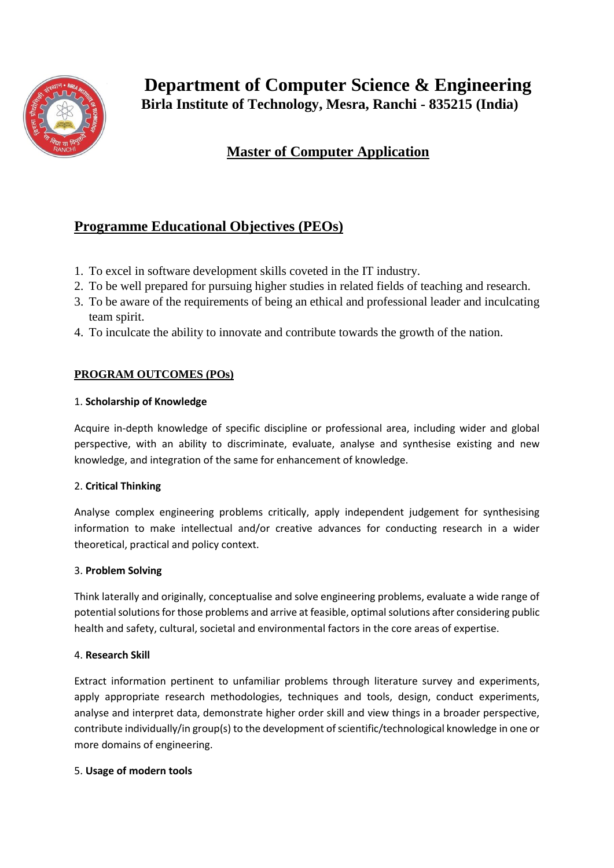

# **Master of Computer Application**

## **Programme Educational Objectives (PEOs)**

- 1. To excel in software development skills coveted in the IT industry.
- 2. To be well prepared for pursuing higher studies in related fields of teaching and research.
- 3. To be aware of the requirements of being an ethical and professional leader and inculcating team spirit.
- 4. To inculcate the ability to innovate and contribute towards the growth of the nation.

## **PROGRAM OUTCOMES (POs)**

### 1. **Scholarship of Knowledge**

Acquire in-depth knowledge of specific discipline or professional area, including wider and global perspective, with an ability to discriminate, evaluate, analyse and synthesise existing and new knowledge, and integration of the same for enhancement of knowledge.

## 2. **Critical Thinking**

Analyse complex engineering problems critically, apply independent judgement for synthesising information to make intellectual and/or creative advances for conducting research in a wider theoretical, practical and policy context.

#### 3. **Problem Solving**

Think laterally and originally, conceptualise and solve engineering problems, evaluate a wide range of potential solutions for those problems and arrive at feasible, optimal solutions after considering public health and safety, cultural, societal and environmental factors in the core areas of expertise.

#### 4. **Research Skill**

Extract information pertinent to unfamiliar problems through literature survey and experiments, apply appropriate research methodologies, techniques and tools, design, conduct experiments, analyse and interpret data, demonstrate higher order skill and view things in a broader perspective, contribute individually/in group(s) to the development of scientific/technological knowledge in one or more domains of engineering.

#### 5. **Usage of modern tools**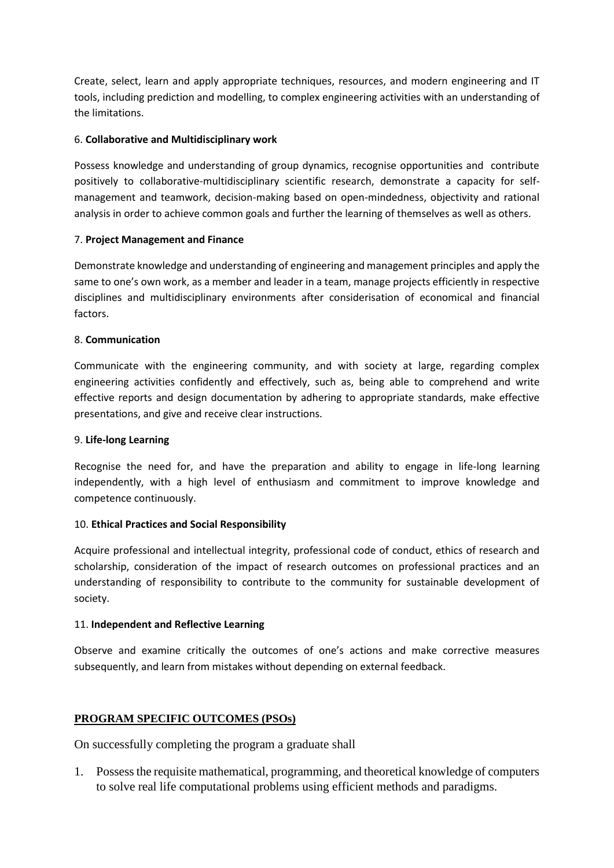Create, select, learn and apply appropriate techniques, resources, and modern engineering and IT tools, including prediction and modelling, to complex engineering activities with an understanding of the limitations.

#### 6. **Collaborative and Multidisciplinary work**

Possess knowledge and understanding of group dynamics, recognise opportunities and contribute positively to collaborative-multidisciplinary scientific research, demonstrate a capacity for selfmanagement and teamwork, decision-making based on open-mindedness, objectivity and rational analysis in order to achieve common goals and further the learning of themselves as well as others.

#### 7. **Project Management and Finance**

Demonstrate knowledge and understanding of engineering and management principles and apply the same to one's own work, as a member and leader in a team, manage projects efficiently in respective disciplines and multidisciplinary environments after considerisation of economical and financial factors.

#### 8. **Communication**

Communicate with the engineering community, and with society at large, regarding complex engineering activities confidently and effectively, such as, being able to comprehend and write effective reports and design documentation by adhering to appropriate standards, make effective presentations, and give and receive clear instructions.

#### 9. **Life-long Learning**

Recognise the need for, and have the preparation and ability to engage in life-long learning independently, with a high level of enthusiasm and commitment to improve knowledge and competence continuously.

#### 10. **Ethical Practices and Social Responsibility**

Acquire professional and intellectual integrity, professional code of conduct, ethics of research and scholarship, consideration of the impact of research outcomes on professional practices and an understanding of responsibility to contribute to the community for sustainable development of society.

#### 11. **Independent and Reflective Learning**

Observe and examine critically the outcomes of one's actions and make corrective measures subsequently, and learn from mistakes without depending on external feedback.

#### **PROGRAM SPECIFIC OUTCOMES (PSOs)**

On successfully completing the program a graduate shall

1. Possess the requisite mathematical, programming, and theoretical knowledge of computers to solve real life computational problems using efficient methods and paradigms.